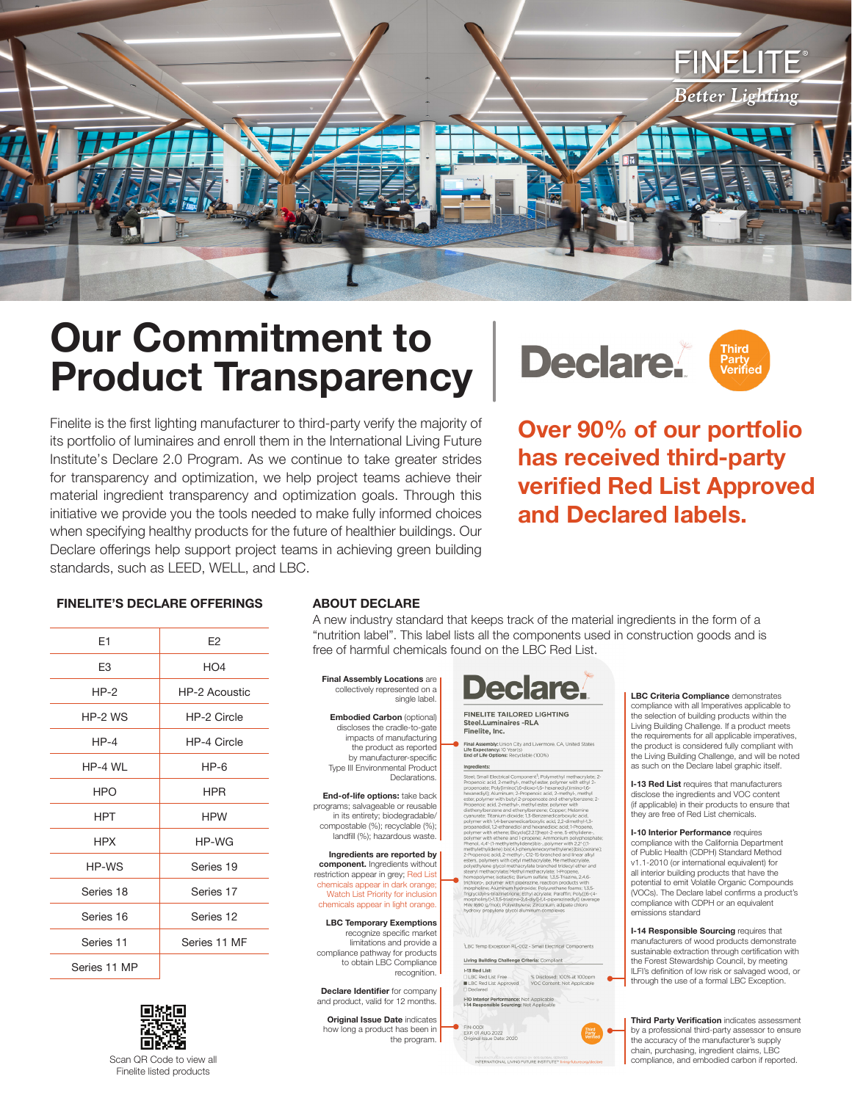

# **Our Commitment to Product Transparency**

Finelite is the first lighting manufacturer to third-party verify the majority of its portfolio of luminaires and enroll them in the International Living Future Institute's Declare 2.0 Program. As we continue to take greater strides for transparency and optimization, we help project teams achieve their material ingredient transparency and optimization goals. Through this initiative we provide you the tools needed to make fully informed choices when specifying healthy products for the future of healthier buildings. Our Declare offerings help support project teams in achieving green building standards, such as LEED, WELL, and LBC.



**Over 90% of our portfolio has received third-party verified Red List Approved and Declared labels.**

#### **FINELITE'S DECLARE OFFERINGS ABOUT DECLARE**

| E1             | E <sub>2</sub>       |  |
|----------------|----------------------|--|
| E <sub>3</sub> | HO <sub>4</sub>      |  |
| $HP-2$         | <b>HP-2 Acoustic</b> |  |
| HP-2 WS        | HP-2 Circle          |  |
| $HP-4$         | HP-4 Circle          |  |
| HP-4 WL        | $HP-6$               |  |
| <b>HPO</b>     | <b>HPR</b>           |  |
| <b>HPT</b>     | <b>HPW</b>           |  |
| <b>HPX</b>     | HP-WG                |  |
| HP-WS          | Series 19            |  |
| Series 18      | Series 17            |  |
| Series 16      | Series 12            |  |
| Series 11      | Series 11 MF         |  |
| Series 11 MP   |                      |  |



A new industry standard that keeps track of the material ingredients in the form of a "nutrition label". This label lists all the components used in construction goods and is free of harmful chemicals found on the LBC Red List.

**Final Assembly Locations** are collectively represented on a single label.

**Embodied Carbon** (optional) discloses the cradle-to-gate impacts of manufacturing the product as reported by manufacturer-specific Type III Environmental Product Declarations.

**End-of-life options:** take back programs; salvageable or reusable in its entirety; biodegradable/ compostable (%); recyclable (%); landfill (%); hazardous waste.

**Ingredients are reported by component.** Ingredients without restriction appear in grey; Red List chemicals appear in dark orange; Watch List Priority for inclusion chemicals appear in light orange.

**LBC Temporary Exemptions**  recognize specific market limitations and provide a compliance pathway for products to obtain LBC Compliance recognition.

**Declare Identifier** for company and product, valid for 12 months.

**Original Issue Date** indicates how long a product has been in the program.



**FINELITE TAILORED LIGHTING** Steel.Luminaires -RLA<br>Finelite, Inc.

re. CA. United S Life Expectancy: 10 Year(s)<br>End of Life Options: Recyclable (100%) Ingredients:

mall Electrical Component<sup>1</sup>; Polymethyl methacrylat<br>oic acid, 2-methyl-, methyl ester, polymer with ethyl<br>oate: PolyTimino(1.6-dioxo-1.6- hexanedivl)imino-1.6openoate; Poly[imino(1,6-dioxo-1,6- hexanediyl)im<br>|-xanediyl]; Aluminum; 2-Propenoic acid, 2-methyl<br>|-xanediyl]; Aluminum; 2-Propenoate and ethenyl<br>|-

Living Building Challenge Criteria: Compliant I-13 Red List % Disclosed: 100% at 100

EXP. 01 AUG 2022<br>Original Issue Date: 2020

**LBC Criteria Compliance** demonstrates compliance with all Imperatives applicable to the selection of building products within the Living Building Challenge. If a product meets the requirements for all applicable imperatives, the product is considered fully compliant with the Living Building Challenge, and will be noted as such on the Declare label graphic itself.

**I-13 Red List** requires that manufacturers disclose the ingredients and VOC content (if applicable) in their products to ensure that they are free of Red List chemicals.

**I-10 Interior Performance** requires compliance with the California Department of Public Health (CDPH) Standard Method v1.1-2010 (or international equivalent) for all interior building products that have the potential to emit Volatile Organic Compounds (VOCs). The Declare label confirms a product's compliance with CDPH or an equivalent emissions standard

**I-14 Responsible Sourcing** requires that manufacturers of wood products demonstrate sustainable extraction through certification with the Forest Stewardship Council, by meeting ILFI's definition of low risk or salvaged wood, or through the use of a formal LBC Exception.

**Third Party Verification** indicates assessment by a professional third-party assessor to ensure the accuracy of the manufacturer's supply chain, purchasing, ingredient claims, LBC compliance, and embodied carbon if reported.

Scan QR Code to view all Finelite listed products